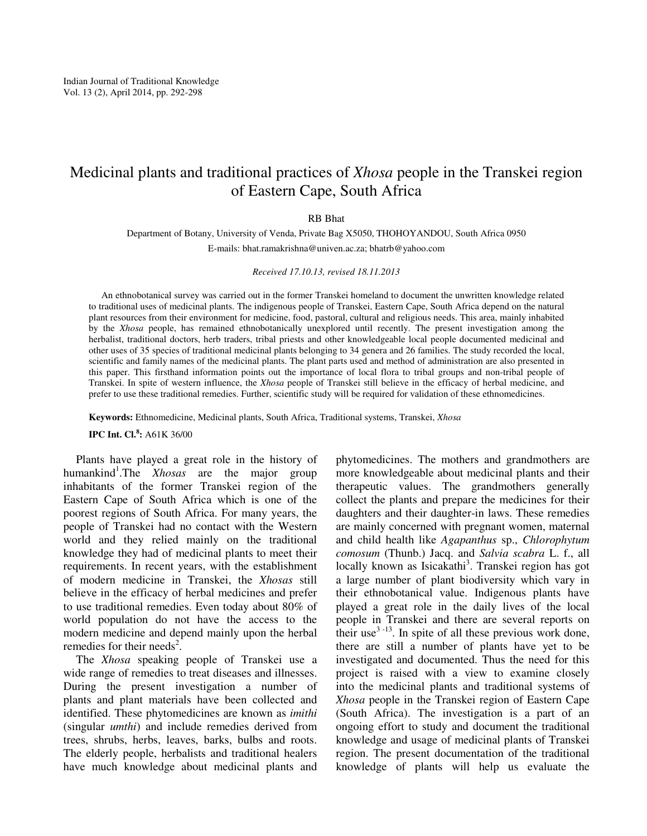# Medicinal plants and traditional practices of *Xhosa* people in the Transkei region of Eastern Cape, South Africa

### RB Bhat

Department of Botany, University of Venda, Private Bag X5050, THOHOYANDOU, South Africa 0950 E-mails: bhat.ramakrishna@univen.ac.za; bhatrb@yahoo.com

#### *Received 17.10.13, revised 18.11.2013*

An ethnobotanical survey was carried out in the former Transkei homeland to document the unwritten knowledge related to traditional uses of medicinal plants. The indigenous people of Transkei, Eastern Cape, South Africa depend on the natural plant resources from their environment for medicine, food, pastoral, cultural and religious needs. This area, mainly inhabited by the *Xhosa* people, has remained ethnobotanically unexplored until recently. The present investigation among the herbalist, traditional doctors, herb traders, tribal priests and other knowledgeable local people documented medicinal and other uses of 35 species of traditional medicinal plants belonging to 34 genera and 26 families. The study recorded the local, scientific and family names of the medicinal plants. The plant parts used and method of administration are also presented in this paper. This firsthand information points out the importance of local flora to tribal groups and non-tribal people of Transkei. In spite of western influence, the *Xhosa* people of Transkei still believe in the efficacy of herbal medicine, and prefer to use these traditional remedies. Further, scientific study will be required for validation of these ethnomedicines.

**Keywords:** Ethnomedicine, Medicinal plants, South Africa, Traditional systems, Transkei, *Xhosa* 

**IPC Int. Cl.<sup>8</sup> :** A61K 36/00

Plants have played a great role in the history of humankind<sup>1</sup>.The *Xhosas* are the major group inhabitants of the former Transkei region of the Eastern Cape of South Africa which is one of the poorest regions of South Africa. For many years, the people of Transkei had no contact with the Western world and they relied mainly on the traditional knowledge they had of medicinal plants to meet their requirements. In recent years, with the establishment of modern medicine in Transkei, the *Xhosas* still believe in the efficacy of herbal medicines and prefer to use traditional remedies. Even today about 80% of world population do not have the access to the modern medicine and depend mainly upon the herbal remedies for their needs<sup>2</sup>.

The *Xhosa* speaking people of Transkei use a wide range of remedies to treat diseases and illnesses. During the present investigation a number of plants and plant materials have been collected and identified. These phytomedicines are known as *imithi* (singular *umthi*) and include remedies derived from trees, shrubs, herbs, leaves, barks, bulbs and roots. The elderly people, herbalists and traditional healers have much knowledge about medicinal plants and phytomedicines. The mothers and grandmothers are more knowledgeable about medicinal plants and their therapeutic values. The grandmothers generally collect the plants and prepare the medicines for their daughters and their daughter-in laws. These remedies are mainly concerned with pregnant women, maternal and child health like *Agapanthus* sp., *Chlorophytum comosum* (Thunb.) Jacq. and *Salvia scabra* L. f., all locally known as Isicakathi<sup>3</sup>. Transkei region has got a large number of plant biodiversity which vary in their ethnobotanical value. Indigenous plants have played a great role in the daily lives of the local people in Transkei and there are several reports on their use<sup>3-13</sup>. In spite of all these previous work done, there are still a number of plants have yet to be investigated and documented. Thus the need for this project is raised with a view to examine closely into the medicinal plants and traditional systems of *Xhosa* people in the Transkei region of Eastern Cape (South Africa). The investigation is a part of an ongoing effort to study and document the traditional knowledge and usage of medicinal plants of Transkei region. The present documentation of the traditional knowledge of plants will help us evaluate the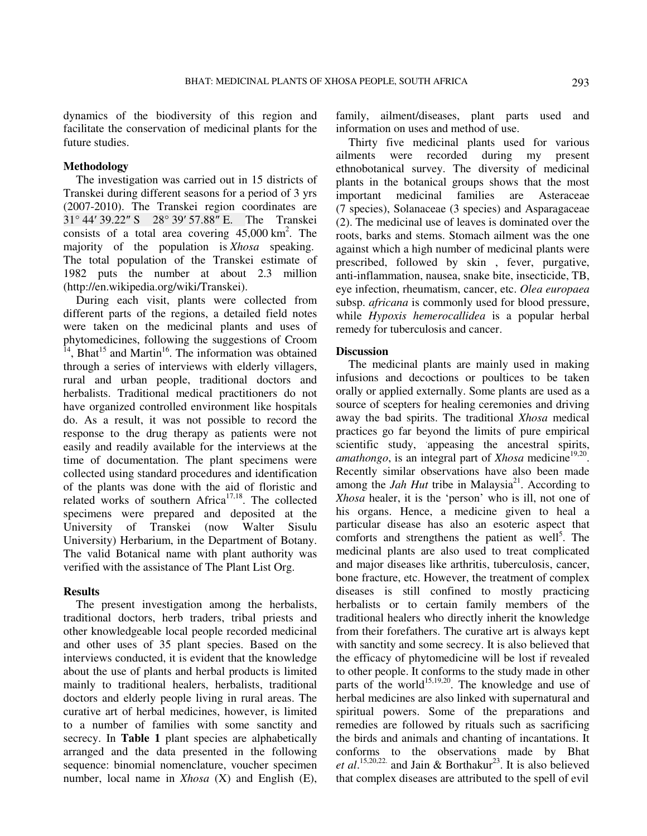dynamics of the biodiversity of this region and facilitate the conservation of medicinal plants for the future studies.

## **Methodology**

The investigation was carried out in 15 districts of Transkei during different seasons for a period of 3 yrs (2007-2010). The Transkei region coordinates are 31° 44′ 39.22″ S 28° 39′ 57.88″ E. The Transkei consists of a total area covering  $45,000 \text{ km}^2$ . The majority of the population is *Xhosa* speaking. The total population of the Transkei estimate of 1982 puts the number at about 2.3 million (http://en.wikipedia.org/wiki/Transkei).

During each visit, plants were collected from different parts of the regions, a detailed field notes were taken on the medicinal plants and uses of phytomedicines, following the suggestions of Croom  $14$ , Bhat<sup>15</sup> and Martin<sup>16</sup>. The information was obtained through a series of interviews with elderly villagers, rural and urban people, traditional doctors and herbalists. Traditional medical practitioners do not have organized controlled environment like hospitals do. As a result, it was not possible to record the response to the drug therapy as patients were not easily and readily available for the interviews at the time of documentation. The plant specimens were collected using standard procedures and identification of the plants was done with the aid of floristic and related works of southern Africa $17,18$ . The collected specimens were prepared and deposited at the University of Transkei (now Walter Sisulu University) Herbarium, in the Department of Botany. The valid Botanical name with plant authority was verified with the assistance of The Plant List Org.

## **Results**

The present investigation among the herbalists, traditional doctors, herb traders, tribal priests and other knowledgeable local people recorded medicinal and other uses of 35 plant species. Based on the interviews conducted, it is evident that the knowledge about the use of plants and herbal products is limited mainly to traditional healers, herbalists, traditional doctors and elderly people living in rural areas. The curative art of herbal medicines, however, is limited to a number of families with some sanctity and secrecy. In **Table 1** plant species are alphabetically arranged and the data presented in the following sequence: binomial nomenclature, voucher specimen number, local name in *Xhosa* (X) and English (E), family, ailment/diseases, plant parts used and information on uses and method of use.

Thirty five medicinal plants used for various ailments were recorded during my present ethnobotanical survey. The diversity of medicinal plants in the botanical groups shows that the most important medicinal families are Asteraceae (7 species), Solanaceae (3 species) and Asparagaceae (2). The medicinal use of leaves is dominated over the roots, barks and stems. Stomach ailment was the one against which a high number of medicinal plants were prescribed, followed by skin , fever, purgative, anti-inflammation, nausea, snake bite, insecticide, TB, eye infection, rheumatism, cancer, etc. *Olea europaea* subsp. *africana* is commonly used for blood pressure, while *Hypoxis hemerocallidea* is a popular herbal remedy for tuberculosis and cancer.

#### **Discussion**

The medicinal plants are mainly used in making infusions and decoctions or poultices to be taken orally or applied externally. Some plants are used as a source of scepters for healing ceremonies and driving away the bad spirits. The traditional *Xhosa* medical practices go far beyond the limits of pure empirical scientific study, appeasing the ancestral spirits, amathongo, is an integral part of *Xhosa* medicine<sup>19,20</sup>. Recently similar observations have also been made among the *Jah Hut* tribe in Malaysia<sup>21</sup>. According to *Xhosa* healer, it is the 'person' who is ill, not one of his organs. Hence, a medicine given to heal a particular disease has also an esoteric aspect that comforts and strengthens the patient as well<sup>5</sup>. The medicinal plants are also used to treat complicated and major diseases like arthritis, tuberculosis, cancer, bone fracture, etc. However, the treatment of complex diseases is still confined to mostly practicing herbalists or to certain family members of the traditional healers who directly inherit the knowledge from their forefathers. The curative art is always kept with sanctity and some secrecy. It is also believed that the efficacy of phytomedicine will be lost if revealed to other people. It conforms to the study made in other parts of the world<sup>15,19,20</sup>. The knowledge and use of herbal medicines are also linked with supernatural and spiritual powers. Some of the preparations and remedies are followed by rituals such as sacrificing the birds and animals and chanting of incantations. It conforms to the observations made by Bhat *et al.*<sup>15,20,22</sup> and Jain & Borthakur<sup>23</sup>. It is also believed that complex diseases are attributed to the spell of evil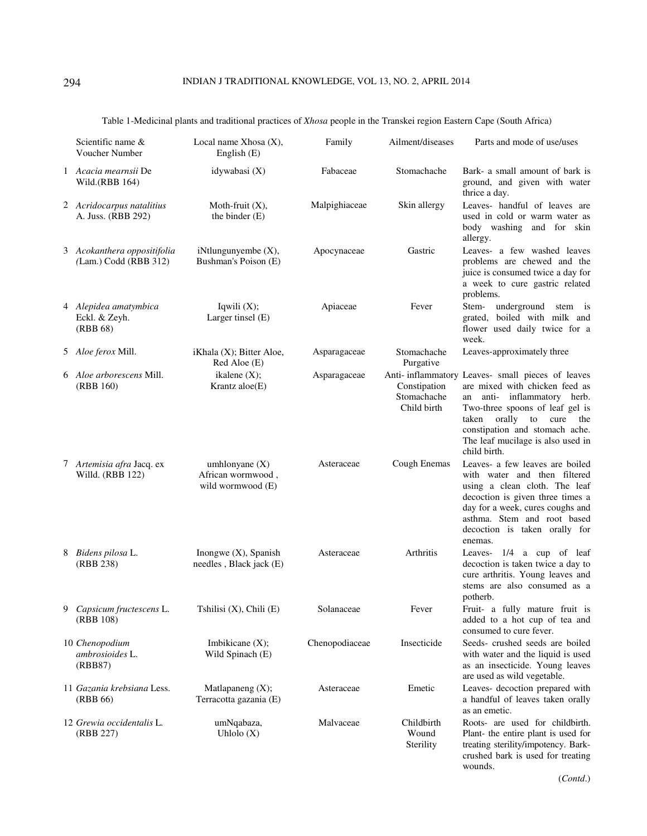|   | Scientific name &<br>Voucher Number                  | Local name Xhosa $(X)$ ,<br>English $(E)$                  | Family         | Ailment/diseases                           | Parts and mode of use/uses                                                                                                                                                                                                                                                        |
|---|------------------------------------------------------|------------------------------------------------------------|----------------|--------------------------------------------|-----------------------------------------------------------------------------------------------------------------------------------------------------------------------------------------------------------------------------------------------------------------------------------|
|   | 1 Acacia mearnsii De<br>Wild.(RBB 164)               | idywabasi $(X)$                                            | Fabaceae       | Stomachache                                | Bark- a small amount of bark is<br>ground, and given with water<br>thrice a day.                                                                                                                                                                                                  |
|   | 2 Acridocarpus natalitius<br>A. Juss. (RBB 292)      | Moth-fruit $(X)$ ,<br>the binder (E)                       | Malpighiaceae  | Skin allergy                               | Leaves- handful of leaves are<br>used in cold or warm water as<br>body washing and for skin<br>allergy.                                                                                                                                                                           |
|   | 3 Acokanthera oppositifolia<br>(Lam.) Codd (RBB 312) | iNtlungunyembe $(X)$ ,<br>Bushman's Poison (E)             | Apocynaceae    | Gastric                                    | Leaves- a few washed leaves<br>problems are chewed and the<br>juice is consumed twice a day for<br>a week to cure gastric related<br>problems.                                                                                                                                    |
|   | 4 Alepidea amatymbica<br>Eckl. & Zeyh.<br>(RBB 68)   | Iqwili $(X)$ ;<br>Larger tinsel (E)                        | Apiaceae       | Fever                                      | underground<br>Stem-<br>stem is<br>grated, boiled with milk and<br>flower used daily twice for a<br>week.                                                                                                                                                                         |
|   | 5 Aloe ferox Mill.                                   | iKhala (X); Bitter Aloe,<br>Red Aloe (E)                   | Asparagaceae   | Stomachache<br>Purgative                   | Leaves-approximately three                                                                                                                                                                                                                                                        |
|   | 6 Aloe arborescens Mill.<br>(RBB 160)                | ikalene $(X)$ ;<br>Krantz aloe(E)                          | Asparagaceae   | Constipation<br>Stomachache<br>Child birth | Anti- inflammatory Leaves- small pieces of leaves<br>are mixed with chicken feed as<br>anti- inflammatory herb.<br>an<br>Two-three spoons of leaf gel is<br>orally to cure<br>taken<br>the<br>constipation and stomach ache.<br>The leaf mucilage is also used in<br>child birth. |
|   | 7 Artemisia afra Jacq. ex<br>Willd. (RBB 122)        | umhlonyane $(X)$<br>African wormwood,<br>wild wormwood (E) | Asteraceae     | Cough Enemas                               | Leaves- a few leaves are boiled<br>with water and then filtered<br>using a clean cloth. The leaf<br>decoction is given three times a<br>day for a week, cures coughs and<br>asthma. Stem and root based<br>decoction is taken orally for<br>enemas.                               |
|   | 8 Bidens pilosa L.<br>(RBB 238)                      | Inongwe $(X)$ , Spanish<br>needles, Black jack (E)         | Asteraceae     | Arthritis                                  | Leaves- 1/4 a cup of leaf<br>decoction is taken twice a day to<br>cure arthritis. Young leaves and<br>stems are also consumed as a<br>potherb.                                                                                                                                    |
| 9 | Capsicum fructescens L.<br>(RBB 108)                 | Tshilisi $(X)$ , Chili $(E)$                               | Solanaceae     | Fever                                      | Fruit- a fully mature fruit is<br>added to a hot cup of tea and<br>consumed to cure fever.                                                                                                                                                                                        |
|   | 10 Chenopodium<br>ambrosioides L.<br>(RBB87)         | Imbikicane $(X)$ ;<br>Wild Spinach (E)                     | Chenopodiaceae | Insecticide                                | Seeds-crushed seeds are boiled<br>with water and the liquid is used<br>as an insecticide. Young leaves<br>are used as wild vegetable.                                                                                                                                             |
|   | 11 Gazania krebsiana Less.<br>(RBB 66)               | Matlapaneng $(X)$ ;<br>Terracotta gazania (E)              | Asteraceae     | Emetic                                     | Leaves- decoction prepared with<br>a handful of leaves taken orally<br>as an emetic.                                                                                                                                                                                              |
|   | 12 Grewia occidentalis L.<br>(RBB 227)               | umNqabaza,<br>Uhlolo $(X)$                                 | Malvaceae      | Childbirth<br>Wound<br>Sterility           | Roots- are used for childbirth.<br>Plant- the entire plant is used for<br>treating sterility/impotency. Bark-<br>crushed bark is used for treating<br>wounds.                                                                                                                     |

Table 1-Medicinal plants and traditional practices of *Xhosa* people in the Transkei region Eastern Cape (South Africa)

(*Contd*.)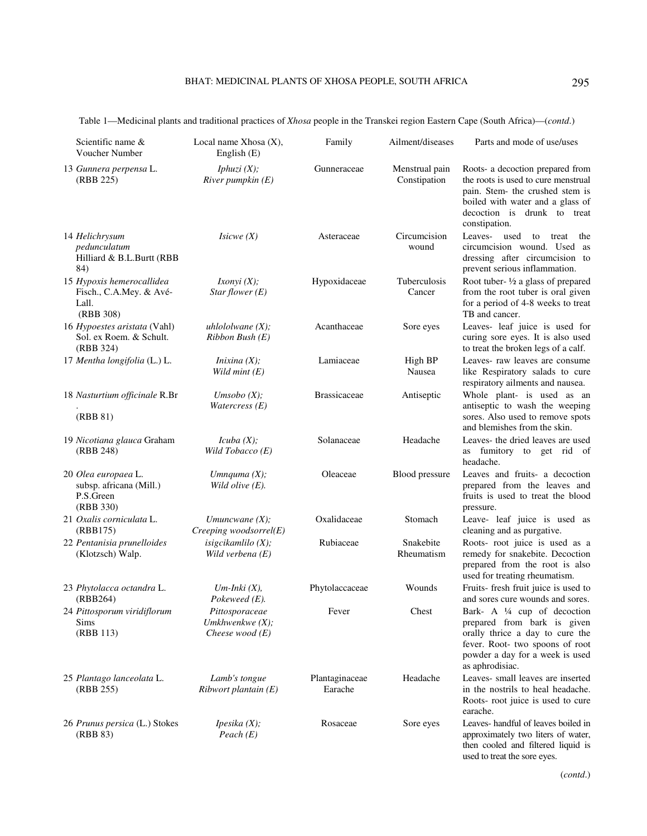| Scientific name &<br>Voucher Number                                        | Local name Xhosa $(X)$ ,<br>English (E)                   | Family                    | Ailment/diseases               | Parts and mode of use/uses                                                                                                                                                                     |
|----------------------------------------------------------------------------|-----------------------------------------------------------|---------------------------|--------------------------------|------------------------------------------------------------------------------------------------------------------------------------------------------------------------------------------------|
| 13 Gunnera perpensa L.<br>(RBB 225)                                        | <i>Iphuzi</i> $(X)$ ;<br>River pumpkin $(E)$              | Gunneraceae               | Menstrual pain<br>Constipation | Roots- a decoction prepared from<br>the roots is used to cure menstrual<br>pain. Stem- the crushed stem is<br>boiled with water and a glass of<br>decoction is drunk to treat<br>constipation. |
| 14 Helichrysum<br>pedunculatum<br>Hilliard & B.L.Burtt (RBB<br>84)         | Isicwe(X)                                                 | Asteraceae                | Circumcision<br>wound          | Leaves- used<br>to<br>treat<br>the<br>circumcision wound. Used as<br>dressing after circumcision to<br>prevent serious inflammation.                                                           |
| 15 Hypoxis hemerocallidea<br>Fisch., C.A.Mey. & Avé-<br>Lall.<br>(RBB 308) | Ixonyi(X);<br>Star flower $(E)$                           | Hypoxidaceae              | Tuberculosis<br>Cancer         | Root tuber- $\frac{1}{2}$ a glass of prepared<br>from the root tuber is oral given<br>for a period of 4-8 weeks to treat<br>TB and cancer.                                                     |
| 16 Hypoestes aristata (Vahl)<br>Sol. ex Roem. & Schult.<br>(RBB 324)       | uhlololwane $(X)$ ;<br>$Ribbon$ Bush $(E)$                | Acanthaceae               | Sore eyes                      | Leaves- leaf juice is used for<br>curing sore eyes. It is also used<br>to treat the broken legs of a calf.                                                                                     |
| 17 Mentha longifolia (L.) L.                                               | <i>Inixina</i> $(X)$ ;<br>Wild mint $(E)$                 | Lamiaceae                 | High BP<br>Nausea              | Leaves- raw leaves are consume<br>like Respiratory salads to cure<br>respiratory ailments and nausea.                                                                                          |
| 18 Nasturtium officinale R.Br<br>(RBB 81)                                  | Umsobo $(X)$ ;<br><i>Watercress</i> $(E)$                 | <b>Brassicaceae</b>       | Antiseptic                     | Whole plant- is used as an<br>antiseptic to wash the weeping<br>sores. Also used to remove spots<br>and blemishes from the skin.                                                               |
| 19 Nicotiana glauca Graham<br>(RBB 248)                                    | Icuba(X);<br>Wild Tobacco $(E)$                           | Solanaceae                | Headache                       | Leaves- the dried leaves are used<br>as fumitory to get rid of<br>headache.                                                                                                                    |
| 20 Olea europaea L.<br>subsp. africana (Mill.)<br>P.S.Green<br>(RBB 330)   | Umnquma $(X)$ ;<br>Wild olive $(E)$ .                     | Oleaceae                  | Blood pressure                 | Leaves and fruits- a decoction<br>prepared from the leaves and<br>fruits is used to treat the blood<br>pressure.                                                                               |
| 21 Oxalis corniculata L.<br>(RBB175)                                       | Umuncwane $(X)$ ;<br>$Creeping$ woodsorrel $(E)$          | Oxalidaceae               | Stomach                        | Leave- leaf juice is used as<br>cleaning and as purgative.                                                                                                                                     |
| 22 Pentanisia prunelloides<br>(Klotzsch) Walp.                             | isigcikamlilo $(X)$ ;<br>Wild verbena $(E)$               | Rubiaceae                 | Snakebite<br>Rheumatism        | Roots- root juice is used as a<br>remedy for snakebite. Decoction<br>prepared from the root is also<br>used for treating rheumatism.                                                           |
| 23 Phytolacca octandra L.<br>(RBB264)                                      | $Um$ -Inki $(X)$ ,<br>Pokeweed (E).                       | Phytolaccaceae            | Wounds                         | Fruits- fresh fruit juice is used to<br>and sores cure wounds and sores.                                                                                                                       |
| 24 Pittosporum viridiflorum<br>Sims<br>(RBB 113)                           | Pittosporaceae<br>Umkhwenkwe $(X)$ ;<br>Cheese wood $(E)$ | Fever                     | Chest                          | Bark- A ¼ cup of decoction<br>prepared from bark is given<br>orally thrice a day to cure the<br>fever. Root- two spoons of root<br>powder a day for a week is used<br>as aphrodisiac.          |
| 25 Plantago lanceolata L.<br>(RBB 255)                                     | Lamb's tongue<br>$Ribwort$ plantain $(E)$                 | Plantaginaceae<br>Earache | Headache                       | Leaves- small leaves are inserted<br>in the nostrils to heal headache.<br>Roots- root juice is used to cure                                                                                    |

Table 1—Medicinal plants and traditional practices of *Xhosa* people in the Transkei region Eastern Cape (South Africa)—(*contd*.)

*Ipesika (X); Peach (E)* 

earache. Rosaceae Sore eyes Leaves- handful of leaves boiled in approximately two liters of water, then cooled and filtered liquid is used to treat the sore eyes.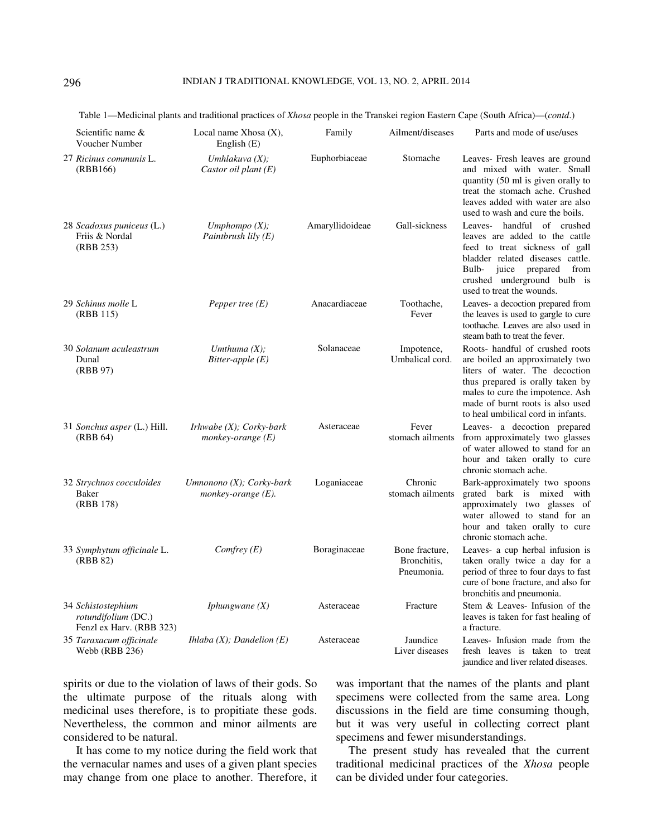| Scientific name $&$<br>Voucher Number                                 | Local name Xhosa $(X)$ ,<br>English $(E)$                       | Family          | Ailment/diseases                            | Parts and mode of use/uses                                                                                                                                                                                                                             |
|-----------------------------------------------------------------------|-----------------------------------------------------------------|-----------------|---------------------------------------------|--------------------------------------------------------------------------------------------------------------------------------------------------------------------------------------------------------------------------------------------------------|
| 27 Ricinus communis L.<br>(RBB166)                                    | Umhlakuva $(X)$ ;<br>Castor oil plant $(E)$                     | Euphorbiaceae   | Stomache                                    | Leaves- Fresh leaves are ground<br>and mixed with water. Small<br>quantity (50 ml is given orally to<br>treat the stomach ache. Crushed<br>leaves added with water are also<br>used to wash and cure the boils.                                        |
| 28 Scadoxus puniceus (L.)<br>Friis & Nordal<br>(RBB 253)              | Umphompo $(X)$ ;<br>Paintbrush lily $(E)$                       | Amaryllidoideae | Gall-sickness                               | Leaves- handful of crushed<br>leaves are added to the cattle<br>feed to treat sickness of gall<br>bladder related diseases cattle.<br>Bulb- juice prepared<br>from<br>crushed underground bulb is<br>used to treat the wounds.                         |
| 29 Schinus molle L<br>(RBB 115)                                       | Pepper tree $(E)$                                               | Anacardiaceae   | Toothache,<br>Fever                         | Leaves- a decoction prepared from<br>the leaves is used to gargle to cure<br>toothache. Leaves are also used in<br>steam bath to treat the fever.                                                                                                      |
| 30 Solanum aculeastrum<br>Dunal<br>(RBB 97)                           | Umthuma $(X)$ ;<br>Bitter-apple $(E)$                           | Solanaceae      | Impotence,<br>Umbalical cord.               | Roots- handful of crushed roots<br>are boiled an approximately two<br>liters of water. The decoction<br>thus prepared is orally taken by<br>males to cure the impotence. Ash<br>made of burnt roots is also used<br>to heal umbilical cord in infants. |
| 31 Sonchus asper (L.) Hill.<br>(RBB 64)                               | <i>Irhwabe</i> $(X)$ ; <i>Corky-bark</i><br>monkey-orange $(E)$ | Asteraceae      | Fever                                       | Leaves- a decoction prepared<br>stomach ailments from approximately two glasses<br>of water allowed to stand for an<br>hour and taken orally to cure<br>chronic stomach ache.                                                                          |
| 32 Strychnos cocculoides<br><b>Baker</b><br>(RBB 178)                 | Umnonono (X); Corky-bark<br>monkey-orange (E).                  | Loganiaceae     | Chronic<br>stomach ailments                 | Bark-approximately two spoons<br>grated bark is mixed with<br>approximately two glasses of<br>water allowed to stand for an<br>hour and taken orally to cure<br>chronic stomach ache.                                                                  |
| 33 Symphytum officinale L.<br>(RBB 82)                                | Comfrey $(E)$                                                   | Boraginaceae    | Bone fracture,<br>Bronchitis,<br>Pneumonia. | Leaves- a cup herbal infusion is<br>taken orally twice a day for a<br>period of three to four days to fast<br>cure of bone fracture, and also for<br>bronchitis and pneumonia.                                                                         |
| 34 Schistostephium<br>rotundifolium (DC.)<br>Fenzl ex Harv. (RBB 323) | <i>Iphungwane</i> $(X)$                                         | Asteraceae      | Fracture                                    | Stem & Leaves- Infusion of the<br>leaves is taken for fast healing of<br>a fracture.                                                                                                                                                                   |
| 35 Taraxacum officinale<br>Webb (RBB 236)                             | <i>Ihlaba</i> $(X)$ ; <i>Dandelion</i> $(E)$                    | Asteraceae      | Jaundice<br>Liver diseases                  | Leaves- Infusion made from the<br>fresh leaves is taken to treat<br>jaundice and liver related diseases.                                                                                                                                               |

Table 1—Medicinal plants and traditional practices of *Xhosa* people in the Transkei region Eastern Cape (South Africa)—(*contd*.)

spirits or due to the violation of laws of their gods. So the ultimate purpose of the rituals along with medicinal uses therefore, is to propitiate these gods. Nevertheless, the common and minor ailments are considered to be natural.

It has come to my notice during the field work that the vernacular names and uses of a given plant species may change from one place to another. Therefore, it was important that the names of the plants and plant specimens were collected from the same area. Long discussions in the field are time consuming though, but it was very useful in collecting correct plant specimens and fewer misunderstandings.

The present study has revealed that the current traditional medicinal practices of the *Xhosa* people can be divided under four categories.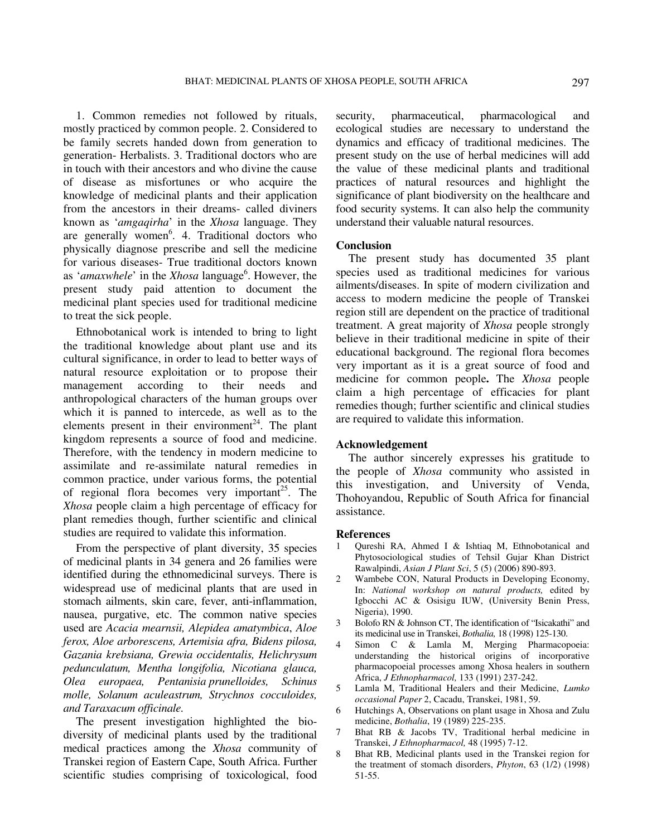1. Common remedies not followed by rituals, mostly practiced by common people. 2. Considered to be family secrets handed down from generation to generation- Herbalists. 3. Traditional doctors who are in touch with their ancestors and who divine the cause of disease as misfortunes or who acquire the knowledge of medicinal plants and their application from the ancestors in their dreams- called diviners known as '*amgaqirha*' in the *Xhosa* language. They are generally women<sup>6</sup>. 4. Traditional doctors who physically diagnose prescribe and sell the medicine for various diseases- True traditional doctors known as '*amaxwhele*' in the *Xhosa* language<sup>6</sup>. However, the present study paid attention to document the medicinal plant species used for traditional medicine to treat the sick people.

Ethnobotanical work is intended to bring to light the traditional knowledge about plant use and its cultural significance, in order to lead to better ways of natural resource exploitation or to propose their management according to their needs and anthropological characters of the human groups over which it is panned to intercede, as well as to the elements present in their environment<sup>24</sup>. The plant kingdom represents a source of food and medicine. Therefore, with the tendency in modern medicine to assimilate and re-assimilate natural remedies in common practice, under various forms, the potential of regional flora becomes very important<sup>25</sup>. The *Xhosa* people claim a high percentage of efficacy for plant remedies though, further scientific and clinical studies are required to validate this information.

From the perspective of plant diversity, 35 species of medicinal plants in 34 genera and 26 families were identified during the ethnomedicinal surveys. There is widespread use of medicinal plants that are used in stomach ailments, skin care, fever, anti-inflammation, nausea, purgative, etc. The common native species used are *Acacia mearnsii, Alepidea amatymbica*, *Aloe ferox, Aloe arborescens, Artemisia afra, Bidens pilosa, Gazania krebsiana, Grewia occidentalis, Helichrysum pedunculatum, Mentha longifolia, Nicotiana glauca, Olea europaea, Pentanisia prunelloides, Schinus molle, Solanum aculeastrum, Strychnos cocculoides, and Taraxacum officinale.*

The present investigation highlighted the biodiversity of medicinal plants used by the traditional medical practices among the *Xhosa* community of Transkei region of Eastern Cape, South Africa. Further scientific studies comprising of toxicological, food security, pharmaceutical, pharmacological and ecological studies are necessary to understand the dynamics and efficacy of traditional medicines. The present study on the use of herbal medicines will add the value of these medicinal plants and traditional practices of natural resources and highlight the significance of plant biodiversity on the healthcare and food security systems. It can also help the community understand their valuable natural resources.

## **Conclusion**

The present study has documented 35 plant species used as traditional medicines for various ailments/diseases. In spite of modern civilization and access to modern medicine the people of Transkei region still are dependent on the practice of traditional treatment. A great majority of *Xhosa* people strongly believe in their traditional medicine in spite of their educational background. The regional flora becomes very important as it is a great source of food and medicine for common people**.** The *Xhosa* people claim a high percentage of efficacies for plant remedies though; further scientific and clinical studies are required to validate this information.

#### **Acknowledgement**

The author sincerely expresses his gratitude to the people of *Xhosa* community who assisted in this investigation, and University of Venda, Thohoyandou, Republic of South Africa for financial assistance.

#### **References**

- 1 Qureshi RA, Ahmed I & Ishtiaq M, Ethnobotanical and Phytosociological studies of Tehsil Gujar Khan District Rawalpindi, *Asian J Plant Sci*, 5 (5) (2006) 890-893.
- 2 Wambebe CON, Natural Products in Developing Economy, In: *National workshop on natural products,* edited by Igbocchi AC & Osisigu IUW, **(**University Benin Press, Nigeria), 1990.
- 3 Bolofo RN & Johnson CT, The identification of "Isicakathi" and its medicinal use in Transkei, *Bothalia,* 18 (1998) 125-130.
- Simon C & Lamla M, Merging Pharmacopoeia: understanding the historical origins of incorporative pharmacopoeial processes among Xhosa healers in southern Africa, *J Ethnopharmacol,* 133 (1991) 237-242.
- 5 Lamla M, Traditional Healers and their Medicine, *Lumko occasional Paper* 2, Cacadu, Transkei, 1981, 59.
- 6 Hutchings A, Observations on plant usage in Xhosa and Zulu medicine, *Bothalia*, 19 (1989) 225-235.
- 7 Bhat RB & Jacobs TV, Traditional herbal medicine in Transkei, *J Ethnopharmacol,* 48 (1995) 7-12.
- 8 Bhat RB, Medicinal plants used in the Transkei region for the treatment of stomach disorders, *Phyton*, 63 (1/2) (1998) 51-55.